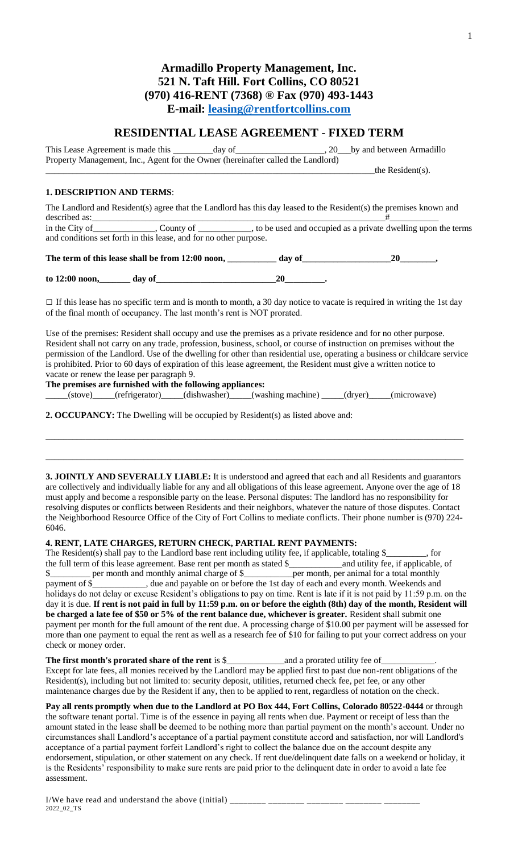# **Armadillo Property Management, Inc. 521 N. Taft Hill. Fort Collins, CO 80521 (970) 416-RENT (7368) ® Fax (970) 493-1443 E-mail: [leasing@rentfortcollins.com](mailto:leasing@rentfortcollins.com)**

## **RESIDENTIAL LEASE AGREEMENT - FIXED TERM**

This Lease Agreement is made this \_\_\_\_\_\_\_\_\_day of\_\_\_\_\_\_\_\_\_\_\_\_\_\_\_\_\_\_, 20\_\_\_by and between Armadillo Property Management, Inc., Agent for the Owner (hereinafter called the Landlord)  $_$ -the Resident(s).

## **1. DESCRIPTION AND TERMS**:

The Landlord and Resident(s) agree that the Landlord has this day leased to the Resident(s) the premises known and described as:\_\_\_\_\_\_\_\_\_\_\_\_\_\_\_\_\_\_\_\_\_\_\_\_\_\_\_\_\_\_\_\_\_\_\_\_\_\_\_\_\_\_\_\_\_\_\_\_\_\_\_\_\_\_\_\_\_\_\_\_\_\_\_\_\_\_#\_\_\_\_\_\_\_\_\_\_\_ in the City of \_\_\_\_\_\_\_\_\_\_\_\_, County of \_\_\_\_\_\_\_\_\_, to be used and occupied as a private dwelling upon the terms and conditions set forth in this lease, and for no other purpose.

**The term of this lease shall be from 12:00 noon, \_\_\_\_\_\_\_\_\_\_\_ day of\_\_\_\_\_\_\_\_\_\_\_\_\_\_\_\_\_\_\_\_20\_\_\_\_\_\_\_\_,**

**to 12:00 noon,\_\_\_\_\_\_\_ day of\_\_\_\_\_\_\_\_\_\_\_\_\_\_\_\_\_\_\_\_\_\_\_\_\_\_\_20\_\_\_\_\_\_\_\_\_.**

 $\square$  If this lease has no specific term and is month to month, a 30 day notice to vacate is required in writing the 1st day of the final month of occupancy. The last month's rent is NOT prorated.

Use of the premises: Resident shall occupy and use the premises as a private residence and for no other purpose. Resident shall not carry on any trade, profession, business, school, or course of instruction on premises without the permission of the Landlord. Use of the dwelling for other than residential use, operating a business or childcare service is prohibited. Prior to 60 days of expiration of this lease agreement, the Resident must give a written notice to vacate or renew the lease per paragraph 9.

**The premises are furnished with the following appliances:**

\_\_\_\_\_(stove)\_\_\_\_\_(refrigerator)\_\_\_\_\_(dishwasher)\_\_\_\_\_(washing machine) \_\_\_\_\_(dryer)\_\_\_\_\_(microwave)

**2. OCCUPANCY:** The Dwelling will be occupied by Resident(s) as listed above and:

**3. JOINTLY AND SEVERALLY LIABLE:** It is understood and agreed that each and all Residents and guarantors are collectively and individually liable for any and all obligations of this lease agreement. Anyone over the age of 18 must apply and become a responsible party on the lease. Personal disputes: The landlord has no responsibility for resolving disputes or conflicts between Residents and their neighbors, whatever the nature of those disputes. Contact the Neighborhood Resource Office of the City of Fort Collins to mediate conflicts. Their phone number is (970) 224- 6046.

 $\_$  ,  $\_$  ,  $\_$  ,  $\_$  ,  $\_$  ,  $\_$  ,  $\_$  ,  $\_$  ,  $\_$  ,  $\_$  ,  $\_$  ,  $\_$  ,  $\_$  ,  $\_$  ,  $\_$  ,  $\_$  ,  $\_$  ,  $\_$  ,  $\_$  ,  $\_$  ,  $\_$  ,  $\_$  ,  $\_$  ,  $\_$  ,  $\_$  ,  $\_$  ,  $\_$  ,  $\_$  ,  $\_$  ,  $\_$  ,  $\_$  ,  $\_$  ,  $\_$  ,  $\_$  ,  $\_$  ,  $\_$  ,  $\_$  ,

\_\_\_\_\_\_\_\_\_\_\_\_\_\_\_\_\_\_\_\_\_\_\_\_\_\_\_\_\_\_\_\_\_\_\_\_\_\_\_\_\_\_\_\_\_\_\_\_\_\_\_\_\_\_\_\_\_\_\_\_\_\_\_\_\_\_\_\_\_\_\_\_\_\_\_\_\_\_\_\_\_\_\_\_\_\_\_\_\_\_\_\_\_\_

#### **4. RENT, LATE CHARGES, RETURN CHECK, PARTIAL RENT PAYMENTS:**

The Resident(s) shall pay to the Landlord base rent including utility fee, if applicable, totaling \$\_\_\_\_\_\_, for the full term of this lease agreement. Base rent per month as stated \$\_\_\_\_\_\_\_\_\_\_\_\_\_\_\_, and utility fee, if app the full term of this lease agreement. Base rent per month as stated \$\_\_\_\_\_\_\_\_\_\_\_\_and utility fee, if applicable, of \$ payment of  $\hat{\mathcal{S}}$  \_\_\_\_\_\_\_\_\_, due and payable on or before the 1st day of each and every month. Weekends and holidays do not delay or excuse Resident's obligations to pay on time. Rent is late if it is not paid by 11:59 p.m. on the day it is due. **If rent is not paid in full by 11:59 p.m. on or before the eighth (8th) day of the month, Resident will be charged a late fee of \$50 or 5% of the rent balance due, whichever is greater.** Resident shall submit one payment per month for the full amount of the rent due. A processing charge of \$10.00 per payment will be assessed for more than one payment to equal the rent as well as a research fee of \$10 for failing to put your correct address on your check or money order.

### **The first month's prorated share of the rent** is \$\_\_\_\_\_\_\_\_\_\_\_\_\_and a prorated utility fee of\_\_\_\_\_\_\_\_\_\_\_\_. Except for late fees, all monies received by the Landlord may be applied first to past due non-rent obligations of the Resident(s), including but not limited to: security deposit, utilities, returned check fee, pet fee, or any other maintenance charges due by the Resident if any, then to be applied to rent, regardless of notation on the check.

**Pay all rents promptly when due to the Landlord at PO Box 444, Fort Collins, Colorado 80522-0444** or through the software tenant portal. Time is of the essence in paying all rents when due. Payment or receipt of less than the amount stated in the lease shall be deemed to be nothing more than partial payment on the month's account. Under no circumstances shall Landlord's acceptance of a partial payment constitute accord and satisfaction, nor will Landlord's acceptance of a partial payment forfeit Landlord's right to collect the balance due on the account despite any endorsement, stipulation, or other statement on any check. If rent due/delinquent date falls on a weekend or holiday, it is the Residents' responsibility to make sure rents are paid prior to the delinquent date in order to avoid a late fee assessment.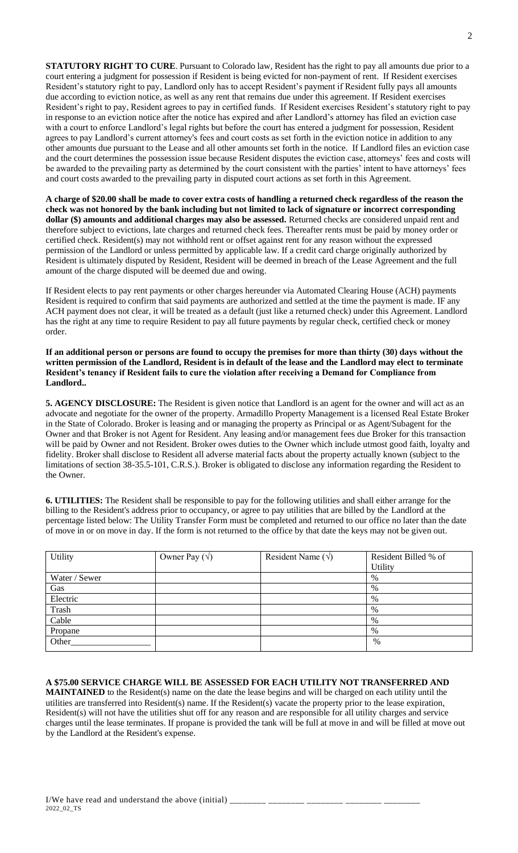**STATUTORY RIGHT TO CURE**. Pursuant to Colorado law, Resident has the right to pay all amounts due prior to a court entering a judgment for possession if Resident is being evicted for non-payment of rent. If Resident exercises Resident's statutory right to pay, Landlord only has to accept Resident's payment if Resident fully pays all amounts due according to eviction notice, as well as any rent that remains due under this agreement. If Resident exercises Resident's right to pay, Resident agrees to pay in certified funds. If Resident exercises Resident's statutory right to pay in response to an eviction notice after the notice has expired and after Landlord's attorney has filed an eviction case with a court to enforce Landlord's legal rights but before the court has entered a judgment for possession, Resident agrees to pay Landlord's current attorney's fees and court costs as set forth in the eviction notice in addition to any other amounts due pursuant to the Lease and all other amounts set forth in the notice. If Landlord files an eviction case and the court determines the possession issue because Resident disputes the eviction case, attorneys' fees and costs will be awarded to the prevailing party as determined by the court consistent with the parties' intent to have attorneys' fees and court costs awarded to the prevailing party in disputed court actions as set forth in this Agreement.

**A charge of \$20.00 shall be made to cover extra costs of handling a returned check regardless of the reason the check was not honored by the bank including but not limited to lack of signature or incorrect corresponding dollar (\$) amounts and additional charges may also be assessed.** Returned checks are considered unpaid rent and therefore subject to evictions, late charges and returned check fees. Thereafter rents must be paid by money order or certified check. Resident(s) may not withhold rent or offset against rent for any reason without the expressed permission of the Landlord or unless permitted by applicable law. If a credit card charge originally authorized by Resident is ultimately disputed by Resident, Resident will be deemed in breach of the Lease Agreement and the full amount of the charge disputed will be deemed due and owing.

If Resident elects to pay rent payments or other charges hereunder via Automated Clearing House (ACH) payments Resident is required to confirm that said payments are authorized and settled at the time the payment is made. IF any ACH payment does not clear, it will be treated as a default (just like a returned check) under this Agreement. Landlord has the right at any time to require Resident to pay all future payments by regular check, certified check or money order.

**If an additional person or persons are found to occupy the premises for more than thirty (30) days without the written permission of the Landlord, Resident is in default of the lease and the Landlord may elect to terminate Resident's tenancy if Resident fails to cure the violation after receiving a Demand for Compliance from Landlord..**

**5. AGENCY DISCLOSURE:** The Resident is given notice that Landlord is an agent for the owner and will act as an advocate and negotiate for the owner of the property. Armadillo Property Management is a licensed Real Estate Broker in the State of Colorado. Broker is leasing and or managing the property as Principal or as Agent/Subagent for the Owner and that Broker is not Agent for Resident. Any leasing and/or management fees due Broker for this transaction will be paid by Owner and not Resident. Broker owes duties to the Owner which include utmost good faith, loyalty and fidelity. Broker shall disclose to Resident all adverse material facts about the property actually known (subject to the limitations of section 38-35.5-101, C.R.S.). Broker is obligated to disclose any information regarding the Resident to the Owner.

**6. UTILITIES:** The Resident shall be responsible to pay for the following utilities and shall either arrange for the billing to the Resident's address prior to occupancy, or agree to pay utilities that are billed by the Landlord at the percentage listed below: The Utility Transfer Form must be completed and returned to our office no later than the date of move in or on move in day. If the form is not returned to the office by that date the keys may not be given out.

| Utility       | Owner Pay $(\sqrt)$ | Resident Name $(\sqrt)$ | Resident Billed % of |
|---------------|---------------------|-------------------------|----------------------|
|               |                     |                         | Utility              |
| Water / Sewer |                     |                         | %                    |
| Gas           |                     |                         | %                    |
| Electric      |                     |                         | %                    |
| Trash         |                     |                         | $\%$                 |
| Cable         |                     |                         | %                    |
| Propane       |                     |                         | %                    |
| Other         |                     |                         | %                    |

**A \$75.00 SERVICE CHARGE WILL BE ASSESSED FOR EACH UTILITY NOT TRANSFERRED AND MAINTAINED** to the Resident(s) name on the date the lease begins and will be charged on each utility until the utilities are transferred into Resident(s) name. If the Resident(s) vacate the property prior to the lease expiration, Resident(s) will not have the utilities shut off for any reason and are responsible for all utility charges and service charges until the lease terminates. If propane is provided the tank will be full at move in and will be filled at move out by the Landlord at the Resident's expense.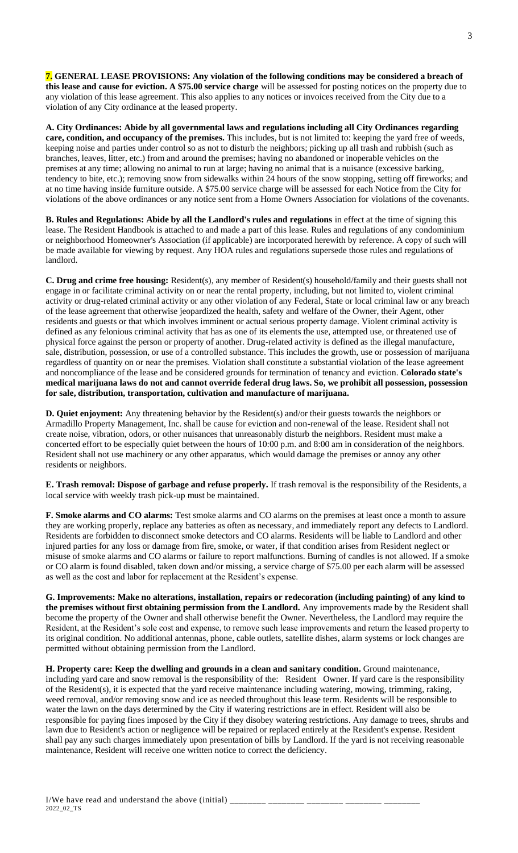**7. GENERAL LEASE PROVISIONS: Any violation of the following conditions may be considered a breach of this lease and cause for eviction. A \$75.00 service charge** will be assessed for posting notices on the property due to any violation of this lease agreement. This also applies to any notices or invoices received from the City due to a violation of any City ordinance at the leased property.

**A. City Ordinances: Abide by all governmental laws and regulations including all City Ordinances regarding care, condition, and occupancy of the premises.** This includes, but is not limited to: keeping the yard free of weeds, keeping noise and parties under control so as not to disturb the neighbors; picking up all trash and rubbish (such as branches, leaves, litter, etc.) from and around the premises; having no abandoned or inoperable vehicles on the premises at any time; allowing no animal to run at large; having no animal that is a nuisance (excessive barking, tendency to bite, etc.); removing snow from sidewalks within 24 hours of the snow stopping, setting off fireworks; and at no time having inside furniture outside. A \$75.00 service charge will be assessed for each Notice from the City for violations of the above ordinances or any notice sent from a Home Owners Association for violations of the covenants.

**B. Rules and Regulations: Abide by all the Landlord's rules and regulations** in effect at the time of signing this lease. The Resident Handbook is attached to and made a part of this lease. Rules and regulations of any condominium or neighborhood Homeowner's Association (if applicable) are incorporated herewith by reference. A copy of such will be made available for viewing by request. Any HOA rules and regulations supersede those rules and regulations of landlord.

**C. Drug and crime free housing:** Resident(s), any member of Resident(s) household/family and their guests shall not engage in or facilitate criminal activity on or near the rental property, including, but not limited to, violent criminal activity or drug-related criminal activity or any other violation of any Federal, State or local criminal law or any breach of the lease agreement that otherwise jeopardized the health, safety and welfare of the Owner, their Agent, other residents and guests or that which involves imminent or actual serious property damage. Violent criminal activity is defined as any felonious criminal activity that has as one of its elements the use, attempted use, or threatened use of physical force against the person or property of another. Drug-related activity is defined as the illegal manufacture, sale, distribution, possession, or use of a controlled substance. This includes the growth, use or possession of marijuana regardless of quantity on or near the premises. Violation shall constitute a substantial violation of the lease agreement and noncompliance of the lease and be considered grounds for termination of tenancy and eviction. **Colorado state's medical marijuana laws do not and cannot override federal drug laws. So, we prohibit all possession, possession for sale, distribution, transportation, cultivation and manufacture of marijuana.**

**D. Quiet enjoyment:** Any threatening behavior by the Resident(s) and/or their guests towards the neighbors or Armadillo Property Management, Inc. shall be cause for eviction and non-renewal of the lease. Resident shall not create noise, vibration, odors, or other nuisances that unreasonably disturb the neighbors. Resident must make a concerted effort to be especially quiet between the hours of 10:00 p.m. and 8:00 am in consideration of the neighbors. Resident shall not use machinery or any other apparatus, which would damage the premises or annoy any other residents or neighbors.

**E. Trash removal: Dispose of garbage and refuse properly.** If trash removal is the responsibility of the Residents, a local service with weekly trash pick-up must be maintained.

**F. Smoke alarms and CO alarms:** Test smoke alarms and CO alarms on the premises at least once a month to assure they are working properly, replace any batteries as often as necessary, and immediately report any defects to Landlord. Residents are forbidden to disconnect smoke detectors and CO alarms. Residents will be liable to Landlord and other injured parties for any loss or damage from fire, smoke, or water, if that condition arises from Resident neglect or misuse of smoke alarms and CO alarms or failure to report malfunctions. Burning of candles is not allowed. If a smoke or CO alarm is found disabled, taken down and/or missing, a service charge of \$75.00 per each alarm will be assessed as well as the cost and labor for replacement at the Resident's expense.

**G. Improvements: Make no alterations, installation, repairs or redecoration (including painting) of any kind to the premises without first obtaining permission from the Landlord.** Any improvements made by the Resident shall become the property of the Owner and shall otherwise benefit the Owner. Nevertheless, the Landlord may require the Resident, at the Resident's sole cost and expense, to remove such lease improvements and return the leased property to its original condition. No additional antennas, phone, cable outlets, satellite dishes, alarm systems or lock changes are permitted without obtaining permission from the Landlord.

**H. Property care: Keep the dwelling and grounds in a clean and sanitary condition.** Ground maintenance, including yard care and snow removal is the responsibility of the: Resident Owner. If yard care is the responsibility of the Resident(s), it is expected that the yard receive maintenance including watering, mowing, trimming, raking, weed removal, and/or removing snow and ice as needed throughout this lease term. Residents will be responsible to water the lawn on the days determined by the City if watering restrictions are in effect. Resident will also be responsible for paying fines imposed by the City if they disobey watering restrictions. Any damage to trees, shrubs and lawn due to Resident's action or negligence will be repaired or replaced entirely at the Resident's expense. Resident shall pay any such charges immediately upon presentation of bills by Landlord. If the yard is not receiving reasonable maintenance, Resident will receive one written notice to correct the deficiency.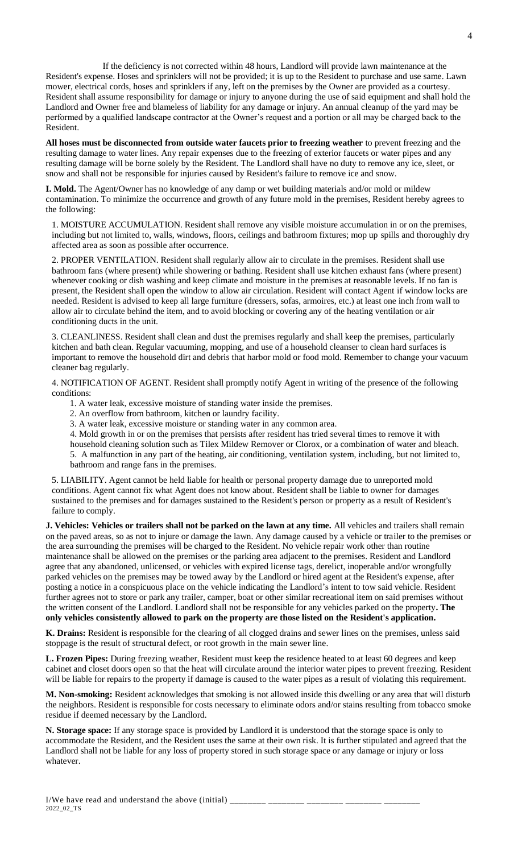If the deficiency is not corrected within 48 hours, Landlord will provide lawn maintenance at the Resident's expense. Hoses and sprinklers will not be provided; it is up to the Resident to purchase and use same. Lawn mower, electrical cords, hoses and sprinklers if any, left on the premises by the Owner are provided as a courtesy. Resident shall assume responsibility for damage or injury to anyone during the use of said equipment and shall hold the Landlord and Owner free and blameless of liability for any damage or injury. An annual cleanup of the yard may be performed by a qualified landscape contractor at the Owner's request and a portion or all may be charged back to the Resident.

**All hoses must be disconnected from outside water faucets prior to freezing weather** to prevent freezing and the resulting damage to water lines. Any repair expenses due to the freezing of exterior faucets or water pipes and any resulting damage will be borne solely by the Resident. The Landlord shall have no duty to remove any ice, sleet, or snow and shall not be responsible for injuries caused by Resident's failure to remove ice and snow.

**I. Mold.** The Agent/Owner has no knowledge of any damp or wet building materials and/or mold or mildew contamination. To minimize the occurrence and growth of any future mold in the premises, Resident hereby agrees to the following:

1. MOISTURE ACCUMULATION. Resident shall remove any visible moisture accumulation in or on the premises, including but not limited to, walls, windows, floors, ceilings and bathroom fixtures; mop up spills and thoroughly dry affected area as soon as possible after occurrence.

2. PROPER VENTILATION. Resident shall regularly allow air to circulate in the premises. Resident shall use bathroom fans (where present) while showering or bathing. Resident shall use kitchen exhaust fans (where present) whenever cooking or dish washing and keep climate and moisture in the premises at reasonable levels. If no fan is present, the Resident shall open the window to allow air circulation. Resident will contact Agent if window locks are needed. Resident is advised to keep all large furniture (dressers, sofas, armoires, etc.) at least one inch from wall to allow air to circulate behind the item, and to avoid blocking or covering any of the heating ventilation or air conditioning ducts in the unit.

3. CLEANLINESS. Resident shall clean and dust the premises regularly and shall keep the premises, particularly kitchen and bath clean. Regular vacuuming, mopping, and use of a household cleanser to clean hard surfaces is important to remove the household dirt and debris that harbor mold or food mold. Remember to change your vacuum cleaner bag regularly.

4. NOTIFICATION OF AGENT. Resident shall promptly notify Agent in writing of the presence of the following conditions:

1. A water leak, excessive moisture of standing water inside the premises.

2. An overflow from bathroom, kitchen or laundry facility.

3. A water leak, excessive moisture or standing water in any common area.

4. Mold growth in or on the premises that persists after resident has tried several times to remove it with

household cleaning solution such as Tilex Mildew Remover or Clorox, or a combination of water and bleach. 5. A malfunction in any part of the heating, air conditioning, ventilation system, including, but not limited to, bathroom and range fans in the premises.

5. LIABILITY. Agent cannot be held liable for health or personal property damage due to unreported mold conditions. Agent cannot fix what Agent does not know about. Resident shall be liable to owner for damages sustained to the premises and for damages sustained to the Resident's person or property as a result of Resident's failure to comply.

**J. Vehicles: Vehicles or trailers shall not be parked on the lawn at any time.** All vehicles and trailers shall remain on the paved areas, so as not to injure or damage the lawn. Any damage caused by a vehicle or trailer to the premises or the area surrounding the premises will be charged to the Resident. No vehicle repair work other than routine maintenance shall be allowed on the premises or the parking area adjacent to the premises. Resident and Landlord agree that any abandoned, unlicensed, or vehicles with expired license tags, derelict, inoperable and/or wrongfully parked vehicles on the premises may be towed away by the Landlord or hired agent at the Resident's expense, after posting a notice in a conspicuous place on the vehicle indicating the Landlord's intent to tow said vehicle. Resident further agrees not to store or park any trailer, camper, boat or other similar recreational item on said premises without the written consent of the Landlord. Landlord shall not be responsible for any vehicles parked on the property**. The only vehicles consistently allowed to park on the property are those listed on the Resident's application.**

**K. Drains:** Resident is responsible for the clearing of all clogged drains and sewer lines on the premises, unless said stoppage is the result of structural defect, or root growth in the main sewer line.

**L. Frozen Pipes:** During freezing weather, Resident must keep the residence heated to at least 60 degrees and keep cabinet and closet doors open so that the heat will circulate around the interior water pipes to prevent freezing. Resident will be liable for repairs to the property if damage is caused to the water pipes as a result of violating this requirement.

**M. Non-smoking:** Resident acknowledges that smoking is not allowed inside this dwelling or any area that will disturb the neighbors. Resident is responsible for costs necessary to eliminate odors and/or stains resulting from tobacco smoke residue if deemed necessary by the Landlord.

**N. Storage space:** If any storage space is provided by Landlord it is understood that the storage space is only to accommodate the Resident, and the Resident uses the same at their own risk. It is further stipulated and agreed that the Landlord shall not be liable for any loss of property stored in such storage space or any damage or injury or loss whatever.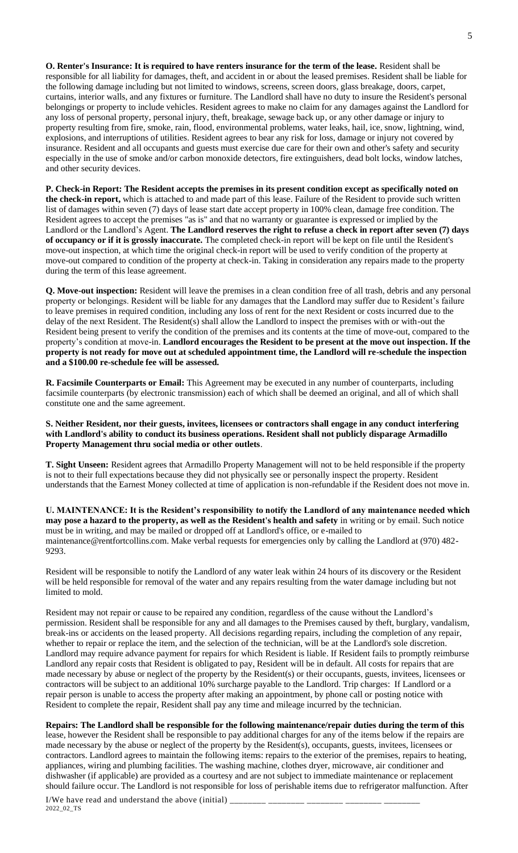**O. Renter's Insurance: It is required to have renters insurance for the term of the lease.** Resident shall be responsible for all liability for damages, theft, and accident in or about the leased premises. Resident shall be liable for the following damage including but not limited to windows, screens, screen doors, glass breakage, doors, carpet, curtains, interior walls, and any fixtures or furniture. The Landlord shall have no duty to insure the Resident's personal belongings or property to include vehicles. Resident agrees to make no claim for any damages against the Landlord for any loss of personal property, personal injury, theft, breakage, sewage back up, or any other damage or injury to property resulting from fire, smoke, rain, flood, environmental problems, water leaks, hail, ice, snow, lightning, wind, explosions, and interruptions of utilities. Resident agrees to bear any risk for loss, damage or injury not covered by insurance. Resident and all occupants and guests must exercise due care for their own and other's safety and security especially in the use of smoke and/or carbon monoxide detectors, fire extinguishers, dead bolt locks, window latches, and other security devices.

**P. Check-in Report: The Resident accepts the premises in its present condition except as specifically noted on the check-in report,** which is attached to and made part of this lease. Failure of the Resident to provide such written list of damages within seven (7) days of lease start date accept property in 100% clean, damage free condition. The Resident agrees to accept the premises "as is" and that no warranty or guarantee is expressed or implied by the Landlord or the Landlord's Agent. **The Landlord reserves the right to refuse a check in report after seven (7) days of occupancy or if it is grossly inaccurate.** The completed check-in report will be kept on file until the Resident's move-out inspection, at which time the original check-in report will be used to verify condition of the property at move-out compared to condition of the property at check-in. Taking in consideration any repairs made to the property during the term of this lease agreement.

**Q. Move-out inspection:** Resident will leave the premises in a clean condition free of all trash, debris and any personal property or belongings. Resident will be liable for any damages that the Landlord may suffer due to Resident's failure to leave premises in required condition, including any loss of rent for the next Resident or costs incurred due to the delay of the next Resident. The Resident(s) shall allow the Landlord to inspect the premises with or with-out the Resident being present to verify the condition of the premises and its contents at the time of move-out, compared to the property's condition at move-in. **Landlord encourages the Resident to be present at the move out inspection. If the property is not ready for move out at scheduled appointment time, the Landlord will re-schedule the inspection and a \$100.00 re-schedule fee will be assessed.**

**R. Facsimile Counterparts or Email:** This Agreement may be executed in any number of counterparts, including facsimile counterparts (by electronic transmission) each of which shall be deemed an original, and all of which shall constitute one and the same agreement.

**S. Neither Resident, nor their guests, invitees, licensees or contractors shall engage in any conduct interfering with Landlord's ability to conduct its business operations. Resident shall not publicly disparage Armadillo Property Management thru social media or other outlets**.

**T. Sight Unseen:** Resident agrees that Armadillo Property Management will not to be held responsible if the property is not to their full expectations because they did not physically see or personally inspect the property. Resident understands that the Earnest Money collected at time of application is non-refundable if the Resident does not move in.

**U. MAINTENANCE: It is the Resident's responsibility to notify the Landlord of any maintenance needed which may pose a hazard to the property, as well as the Resident's health and safety** in writing or by email. Such notice must be in writing, and may be mailed or dropped off at Landlord's office, or e-mailed to maintenance@rentfortcollins.com. Make verbal requests for emergencies only by calling the Landlord at (970) 482- 9293.

Resident will be responsible to notify the Landlord of any water leak within 24 hours of its discovery or the Resident will be held responsible for removal of the water and any repairs resulting from the water damage including but not limited to mold.

Resident may not repair or cause to be repaired any condition, regardless of the cause without the Landlord's permission. Resident shall be responsible for any and all damages to the Premises caused by theft, burglary, vandalism, break-ins or accidents on the leased property. All decisions regarding repairs, including the completion of any repair, whether to repair or replace the item, and the selection of the technician, will be at the Landlord's sole discretion. Landlord may require advance payment for repairs for which Resident is liable. If Resident fails to promptly reimburse Landlord any repair costs that Resident is obligated to pay, Resident will be in default. All costs for repairs that are made necessary by abuse or neglect of the property by the Resident(s) or their occupants, guests, invitees, licensees or contractors will be subject to an additional 10% surcharge payable to the Landlord. Trip charges: If Landlord or a repair person is unable to access the property after making an appointment, by phone call or posting notice with Resident to complete the repair, Resident shall pay any time and mileage incurred by the technician.

**Repairs: The Landlord shall be responsible for the following maintenance/repair duties during the term of this** 

lease, however the Resident shall be responsible to pay additional charges for any of the items below if the repairs are made necessary by the abuse or neglect of the property by the Resident(s), occupants, guests, invitees, licensees or contractors. Landlord agrees to maintain the following items: repairs to the exterior of the premises, repairs to heating, appliances, wiring and plumbing facilities. The washing machine, clothes dryer, microwave, air conditioner and dishwasher (if applicable) are provided as a courtesy and are not subject to immediate maintenance or replacement should failure occur. The Landlord is not responsible for loss of perishable items due to refrigerator malfunction. After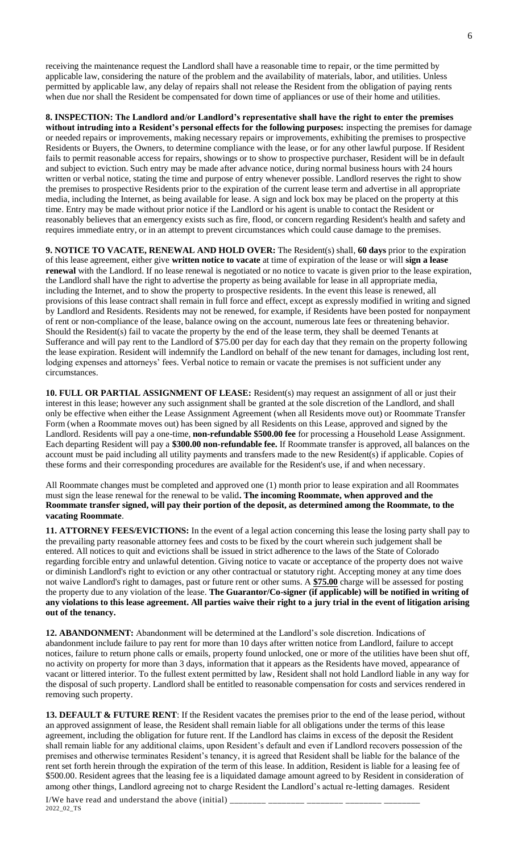receiving the maintenance request the Landlord shall have a reasonable time to repair, or the time permitted by applicable law, considering the nature of the problem and the availability of materials, labor, and utilities. Unless permitted by applicable law, any delay of repairs shall not release the Resident from the obligation of paying rents when due nor shall the Resident be compensated for down time of appliances or use of their home and utilities.

**8. INSPECTION: The Landlord and/or Landlord's representative shall have the right to enter the premises without intruding into a Resident's personal effects for the following purposes:** inspecting the premises for damage or needed repairs or improvements, making necessary repairs or improvements, exhibiting the premises to prospective Residents or Buyers, the Owners, to determine compliance with the lease, or for any other lawful purpose. If Resident fails to permit reasonable access for repairs, showings or to show to prospective purchaser, Resident will be in default and subject to eviction. Such entry may be made after advance notice, during normal business hours with 24 hours written or verbal notice, stating the time and purpose of entry whenever possible. Landlord reserves the right to show the premises to prospective Residents prior to the expiration of the current lease term and advertise in all appropriate media, including the Internet, as being available for lease. A sign and lock box may be placed on the property at this time. Entry may be made without prior notice if the Landlord or his agent is unable to contact the Resident or reasonably believes that an emergency exists such as fire, flood, or concern regarding Resident's health and safety and requires immediate entry, or in an attempt to prevent circumstances which could cause damage to the premises.

**9. NOTICE TO VACATE, RENEWAL AND HOLD OVER:** The Resident(s) shall, **60 days** prior to the expiration of this lease agreement, either give **written notice to vacate** at time of expiration of the lease or will **sign a lease renewal** with the Landlord. If no lease renewal is negotiated or no notice to vacate is given prior to the lease expiration, the Landlord shall have the right to advertise the property as being available for lease in all appropriate media, including the Internet, and to show the property to prospective residents. In the event this lease is renewed, all provisions of this lease contract shall remain in full force and effect, except as expressly modified in writing and signed by Landlord and Residents. Residents may not be renewed, for example, if Residents have been posted for nonpayment of rent or non-compliance of the lease, balance owing on the account, numerous late fees or threatening behavior. Should the Resident(s) fail to vacate the property by the end of the lease term, they shall be deemed Tenants at Sufferance and will pay rent to the Landlord of \$75.00 per day for each day that they remain on the property following the lease expiration. Resident will indemnify the Landlord on behalf of the new tenant for damages, including lost rent, lodging expenses and attorneys' fees. Verbal notice to remain or vacate the premises is not sufficient under any circumstances.

**10. FULL OR PARTIAL ASSIGNMENT OF LEASE:** Resident(s) may request an assignment of all or just their interest in this lease; however any such assignment shall be granted at the sole discretion of the Landlord, and shall only be effective when either the Lease Assignment Agreement (when all Residents move out) or Roommate Transfer Form (when a Roommate moves out) has been signed by all Residents on this Lease, approved and signed by the Landlord. Residents will pay a one-time, **non-refundable \$500.00 fee** for processing a Household Lease Assignment. Each departing Resident will pay a **\$300.00 non-refundable fee.** If Roommate transfer is approved, all balances on the account must be paid including all utility payments and transfers made to the new Resident(s) if applicable. Copies of these forms and their corresponding procedures are available for the Resident's use, if and when necessary.

All Roommate changes must be completed and approved one (1) month prior to lease expiration and all Roommates must sign the lease renewal for the renewal to be valid**. The incoming Roommate, when approved and the Roommate transfer signed, will pay their portion of the deposit, as determined among the Roommate, to the vacating Roommate**.

**11. ATTORNEY FEES/EVICTIONS:** In the event of a legal action concerning this lease the losing party shall pay to the prevailing party reasonable attorney fees and costs to be fixed by the court wherein such judgement shall be entered. All notices to quit and evictions shall be issued in strict adherence to the laws of the State of Colorado regarding forcible entry and unlawful detention. Giving notice to vacate or acceptance of the property does not waive or diminish Landlord's right to eviction or any other contractual or statutory right. Accepting money at any time does not waive Landlord's right to damages, past or future rent or other sums. A **\$75.00** charge will be assessed for posting the property due to any violation of the lease. **The Guarantor/Co-signer (if applicable) will be notified in writing of any violations to this lease agreement. All parties waive their right to a jury trial in the event of litigation arising out of the tenancy.**

**12. ABANDONMENT:** Abandonment will be determined at the Landlord's sole discretion. Indications of abandonment include failure to pay rent for more than 10 days after written notice from Landlord, failure to accept notices, failure to return phone calls or emails, property found unlocked, one or more of the utilities have been shut off, no activity on property for more than 3 days, information that it appears as the Residents have moved, appearance of vacant or littered interior. To the fullest extent permitted by law, Resident shall not hold Landlord liable in any way for the disposal of such property. Landlord shall be entitled to reasonable compensation for costs and services rendered in removing such property.

**13. DEFAULT & FUTURE RENT**: If the Resident vacates the premises prior to the end of the lease period, without an approved assignment of lease, the Resident shall remain liable for all obligations under the terms of this lease agreement, including the obligation for future rent. If the Landlord has claims in excess of the deposit the Resident shall remain liable for any additional claims, upon Resident's default and even if Landlord recovers possession of the premises and otherwise terminates Resident's tenancy, it is agreed that Resident shall be liable for the balance of the rent set forth herein through the expiration of the term of this lease. In addition, Resident is liable for a leasing fee of \$500.00. Resident agrees that the leasing fee is a liquidated damage amount agreed to by Resident in consideration of among other things, Landlord agreeing not to charge Resident the Landlord's actual re-letting damages. Resident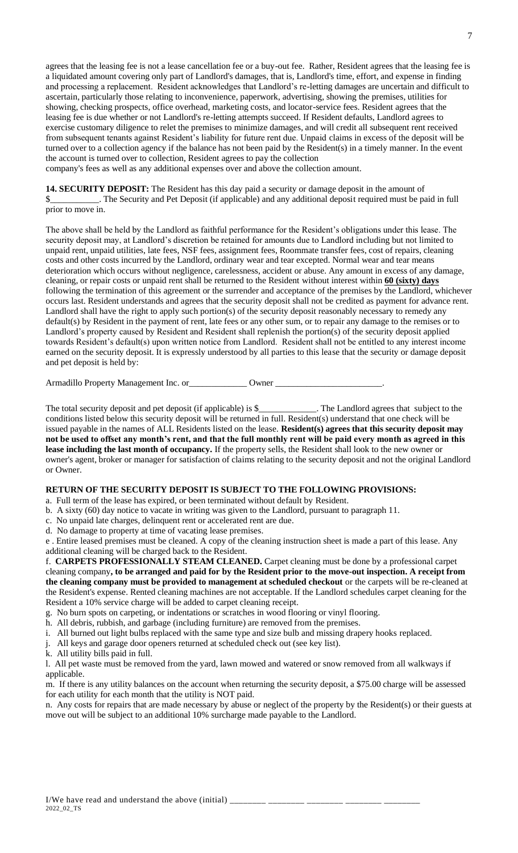agrees that the leasing fee is not a lease cancellation fee or a buy-out fee. Rather, Resident agrees that the leasing fee is a liquidated amount covering only part of Landlord's damages, that is, Landlord's time, effort, and expense in finding and processing a replacement. Resident acknowledges that Landlord's re-letting damages are uncertain and difficult to ascertain, particularly those relating to inconvenience, paperwork, advertising, showing the premises, utilities for showing, checking prospects, office overhead, marketing costs, and locator-service fees. Resident agrees that the leasing fee is due whether or not Landlord's re-letting attempts succeed. If Resident defaults, Landlord agrees to exercise customary diligence to relet the premises to minimize damages, and will credit all subsequent rent received from subsequent tenants against Resident's liability for future rent due. Unpaid claims in excess of the deposit will be turned over to a collection agency if the balance has not been paid by the Resident(s) in a timely manner. In the event the account is turned over to collection, Resident agrees to pay the collection

company's fees as well as any additional expenses over and above the collection amount.

**14. SECURITY DEPOSIT:** The Resident has this day paid a security or damage deposit in the amount of \$\_\_\_\_\_\_\_\_\_\_\_. The Security and Pet Deposit (if applicable) and any additional deposit required must be paid in full prior to move in.

The above shall be held by the Landlord as faithful performance for the Resident's obligations under this lease. The security deposit may, at Landlord's discretion be retained for amounts due to Landlord including but not limited to unpaid rent, unpaid utilities, late fees, NSF fees, assignment fees, Roommate transfer fees, cost of repairs, cleaning costs and other costs incurred by the Landlord, ordinary wear and tear excepted. Normal wear and tear means deterioration which occurs without negligence, carelessness, accident or abuse. Any amount in excess of any damage, cleaning, or repair costs or unpaid rent shall be returned to the Resident without interest within **60 (sixty) days** following the termination of this agreement or the surrender and acceptance of the premises by the Landlord, whichever occurs last. Resident understands and agrees that the security deposit shall not be credited as payment for advance rent. Landlord shall have the right to apply such portion(s) of the security deposit reasonably necessary to remedy any default(s) by Resident in the payment of rent, late fees or any other sum, or to repair any damage to the remises or to Landlord's property caused by Resident and Resident shall replenish the portion(s) of the security deposit applied towards Resident's default(s) upon written notice from Landlord. Resident shall not be entitled to any interest income earned on the security deposit. It is expressly understood by all parties to this lease that the security or damage deposit and pet deposit is held by:

Armadillo Property Management Inc. or\_\_\_\_\_\_\_\_\_\_\_\_\_\_\_ Owner \_\_\_\_\_\_\_\_\_\_\_\_\_\_\_\_\_\_\_\_\_\_

The total security deposit and pet deposit (if applicable) is \$\_\_\_\_\_\_\_\_\_\_\_\_\_. The Landlord agrees that subject to the conditions listed below this security deposit will be returned in full. Resident(s) understand that one check will be issued payable in the names of ALL Residents listed on the lease. **Resident(s) agrees that this security deposit may not be used to offset any month's rent, and that the full monthly rent will be paid every month as agreed in this lease including the last month of occupancy.** If the property sells, the Resident shall look to the new owner or owner's agent, broker or manager for satisfaction of claims relating to the security deposit and not the original Landlord or Owner.

### **RETURN OF THE SECURITY DEPOSIT IS SUBJECT TO THE FOLLOWING PROVISIONS:**

a. Full term of the lease has expired, or been terminated without default by Resident.

- b. A sixty (60) day notice to vacate in writing was given to the Landlord, pursuant to paragraph 11.
- c. No unpaid late charges, delinquent rent or accelerated rent are due.
- d. No damage to property at time of vacating lease premises.

e . Entire leased premises must be cleaned. A copy of the cleaning instruction sheet is made a part of this lease. Any additional cleaning will be charged back to the Resident.

f. **CARPETS PROFESSIONALLY STEAM CLEANED.** Carpet cleaning must be done by a professional carpet cleaning company**, to be arranged and paid for by the Resident prior to the move-out inspection. A receipt from the cleaning company must be provided to management at scheduled checkout** or the carpets will be re-cleaned at the Resident's expense. Rented cleaning machines are not acceptable. If the Landlord schedules carpet cleaning for the Resident a 10% service charge will be added to carpet cleaning receipt.

- g. No burn spots on carpeting, or indentations or scratches in wood flooring or vinyl flooring.
- h. All debris, rubbish, and garbage (including furniture) are removed from the premises.
- i. All burned out light bulbs replaced with the same type and size bulb and missing drapery hooks replaced.
- j. All keys and garage door openers returned at scheduled check out (see key list).
- k. All utility bills paid in full.

l. All pet waste must be removed from the yard, lawn mowed and watered or snow removed from all walkways if applicable.

m. If there is any utility balances on the account when returning the security deposit, a \$75.00 charge will be assessed for each utility for each month that the utility is NOT paid.

n. Any costs for repairs that are made necessary by abuse or neglect of the property by the Resident(s) or their guests at move out will be subject to an additional 10% surcharge made payable to the Landlord.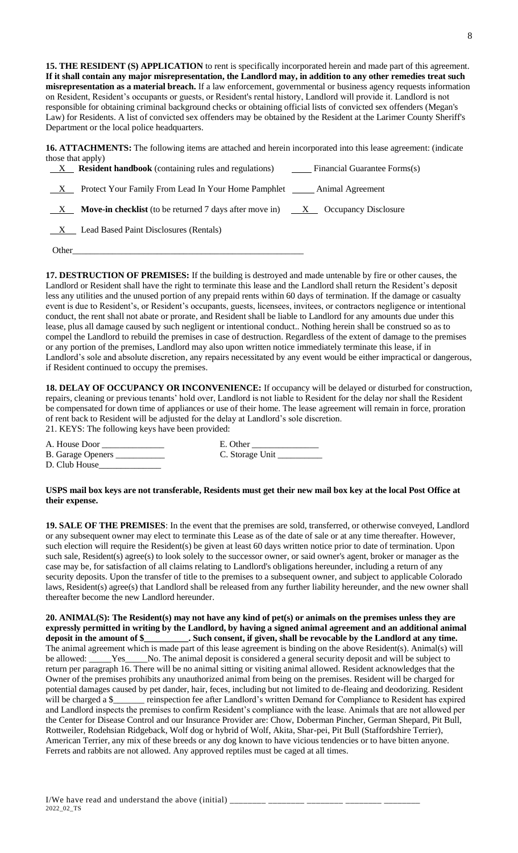**15. THE RESIDENT (S) APPLICATION** to rent is specifically incorporated herein and made part of this agreement. **If it shall contain any major misrepresentation, the Landlord may, in addition to any other remedies treat such misrepresentation as a material breach.** If a law enforcement, governmental or business agency requests information on Resident, Resident's occupants or guests, or Resident's rental history, Landlord will provide it. Landlord is not responsible for obtaining criminal background checks or obtaining official lists of convicted sex offenders (Megan's Law) for Residents. A list of convicted sex offenders may be obtained by the Resident at the Larimer County Sheriff's Department or the local police headquarters.

**16. ATTACHMENTS:** The following items are attached and herein incorporated into this lease agreement: (indicate those that apply)

|              | X <b>Resident handbook</b> (containing rules and regulations) Financial Guarantee Forms(s)         |
|--------------|----------------------------------------------------------------------------------------------------|
| X            | Protect Your Family From Lead In Your Home Pamphlet Animal Agreement                               |
| $\mathbf{X}$ | <b>Move-in checklist</b> (to be returned 7 days after move in) $\overline{X}$ Occupancy Disclosure |
|              | X Lead Based Paint Disclosures (Rentals)                                                           |
|              | Other                                                                                              |

**17. DESTRUCTION OF PREMISES:** If the building is destroyed and made untenable by fire or other causes, the Landlord or Resident shall have the right to terminate this lease and the Landlord shall return the Resident's deposit less any utilities and the unused portion of any prepaid rents within 60 days of termination. If the damage or casualty event is due to Resident's, or Resident's occupants, guests, licensees, invitees, or contractors negligence or intentional conduct, the rent shall not abate or prorate, and Resident shall be liable to Landlord for any amounts due under this lease, plus all damage caused by such negligent or intentional conduct.. Nothing herein shall be construed so as to compel the Landlord to rebuild the premises in case of destruction. Regardless of the extent of damage to the premises or any portion of the premises, Landlord may also upon written notice immediately terminate this lease, if in Landlord's sole and absolute discretion, any repairs necessitated by any event would be either impractical or dangerous, if Resident continued to occupy the premises.

**18. DELAY OF OCCUPANCY OR INCONVENIENCE:** If occupancy will be delayed or disturbed for construction, repairs, cleaning or previous tenants' hold over, Landlord is not liable to Resident for the delay nor shall the Resident be compensated for down time of appliances or use of their home. The lease agreement will remain in force, proration of rent back to Resident will be adjusted for the delay at Landlord's sole discretion.

21. KEYS: The following keys have been provided:

| A. House Door |  |
|---------------|--|
|---------------|--|

| <b>B.</b> Garage Openers |  |
|--------------------------|--|
|--------------------------|--|

E. Other C. Storage Unit \_\_\_\_\_\_\_

D. Club House

#### **USPS mail box keys are not transferable, Residents must get their new mail box key at the local Post Office at their expense.**

**19. SALE OF THE PREMISES**: In the event that the premises are sold, transferred, or otherwise conveyed, Landlord or any subsequent owner may elect to terminate this Lease as of the date of sale or at any time thereafter. However, such election will require the Resident(s) be given at least 60 days written notice prior to date of termination. Upon such sale, Resident(s) agree(s) to look solely to the successor owner, or said owner's agent, broker or manager as the case may be, for satisfaction of all claims relating to Landlord's obligations hereunder, including a return of any security deposits. Upon the transfer of title to the premises to a subsequent owner, and subject to applicable Colorado laws, Resident(s) agree(s) that Landlord shall be released from any further liability hereunder, and the new owner shall thereafter become the new Landlord hereunder.

**20. ANIMAL(S): The Resident(s) may not have any kind of pet(s) or animals on the premises unless they are expressly permitted in writing by the Landlord, by having a signed animal agreement and an additional animal deposit in the amount of \$\_\_\_\_\_\_\_\_\_\_. Such consent, if given, shall be revocable by the Landlord at any time.** The animal agreement which is made part of this lease agreement is binding on the above Resident(s). Animal(s) will be allowed: Yes No. The animal deposit is considered a general security deposit and will be subject to return per paragraph 16. There will be no animal sitting or visiting animal allowed. Resident acknowledges that the Owner of the premises prohibits any unauthorized animal from being on the premises. Resident will be charged for potential damages caused by pet dander, hair, feces, including but not limited to de-fleaing and deodorizing. Resident will be charged a \$\_\_\_\_\_\_ reinspection fee after Landlord's written Demand for Compliance to Resident has expired and Landlord inspects the premises to confirm Resident's compliance with the lease. Animals that are not allowed per the Center for Disease Control and our Insurance Provider are: Chow, Doberman Pincher, German Shepard, Pit Bull, Rottweiler, Rodehsian Ridgeback, Wolf dog or hybrid of Wolf, Akita, Shar-pei, Pit Bull (Staffordshire Terrier), American Terrier, any mix of these breeds or any dog known to have vicious tendencies or to have bitten anyone. Ferrets and rabbits are not allowed. Any approved reptiles must be caged at all times.